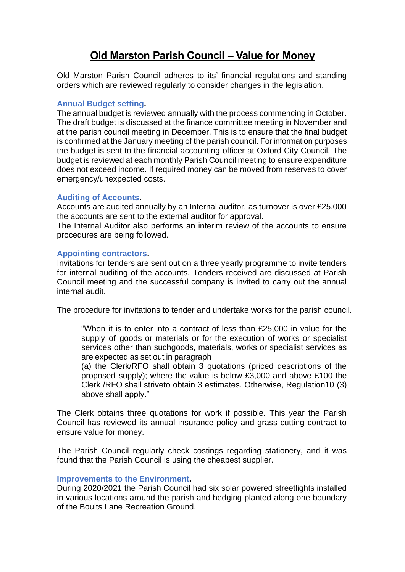# **Old Marston Parish Council – Value for Money**

Old Marston Parish Council adheres to its' financial regulations and standing orders which are reviewed regularly to consider changes in the legislation.

## **Annual Budget setting.**

The annual budget is reviewed annually with the process commencing in October. The draft budget is discussed at the finance committee meeting in November and at the parish council meeting in December. This is to ensure that the final budget is confirmed at the January meeting of the parish council. For information purposes the budget is sent to the financial accounting officer at Oxford City Council. The budget is reviewed at each monthly Parish Council meeting to ensure expenditure does not exceed income. If required money can be moved from reserves to cover emergency/unexpected costs.

## **Auditing of Accounts.**

Accounts are audited annually by an Internal auditor, as turnover is over £25,000 the accounts are sent to the external auditor for approval.

The Internal Auditor also performs an interim review of the accounts to ensure procedures are being followed.

#### **Appointing contractors.**

Invitations for tenders are sent out on a three yearly programme to invite tenders for internal auditing of the accounts. Tenders received are discussed at Parish Council meeting and the successful company is invited to carry out the annual internal audit.

The procedure for invitations to tender and undertake works for the parish council.

"When it is to enter into a contract of less than £25,000 in value for the supply of goods or materials or for the execution of works or specialist services other than suchgoods, materials, works or specialist services as are expected as set out in paragraph

(a) the Clerk/RFO shall obtain 3 quotations (priced descriptions of the proposed supply); where the value is below £3,000 and above £100 the Clerk /RFO shall striveto obtain 3 estimates. Otherwise, Regulation10 (3) above shall apply."

The Clerk obtains three quotations for work if possible. This year the Parish Council has reviewed its annual insurance policy and grass cutting contract to ensure value for money.

The Parish Council regularly check costings regarding stationery, and it was found that the Parish Council is using the cheapest supplier.

#### **Improvements to the Environment.**

During 2020/2021 the Parish Council had six solar powered streetlights installed in various locations around the parish and hedging planted along one boundary of the Boults Lane Recreation Ground.